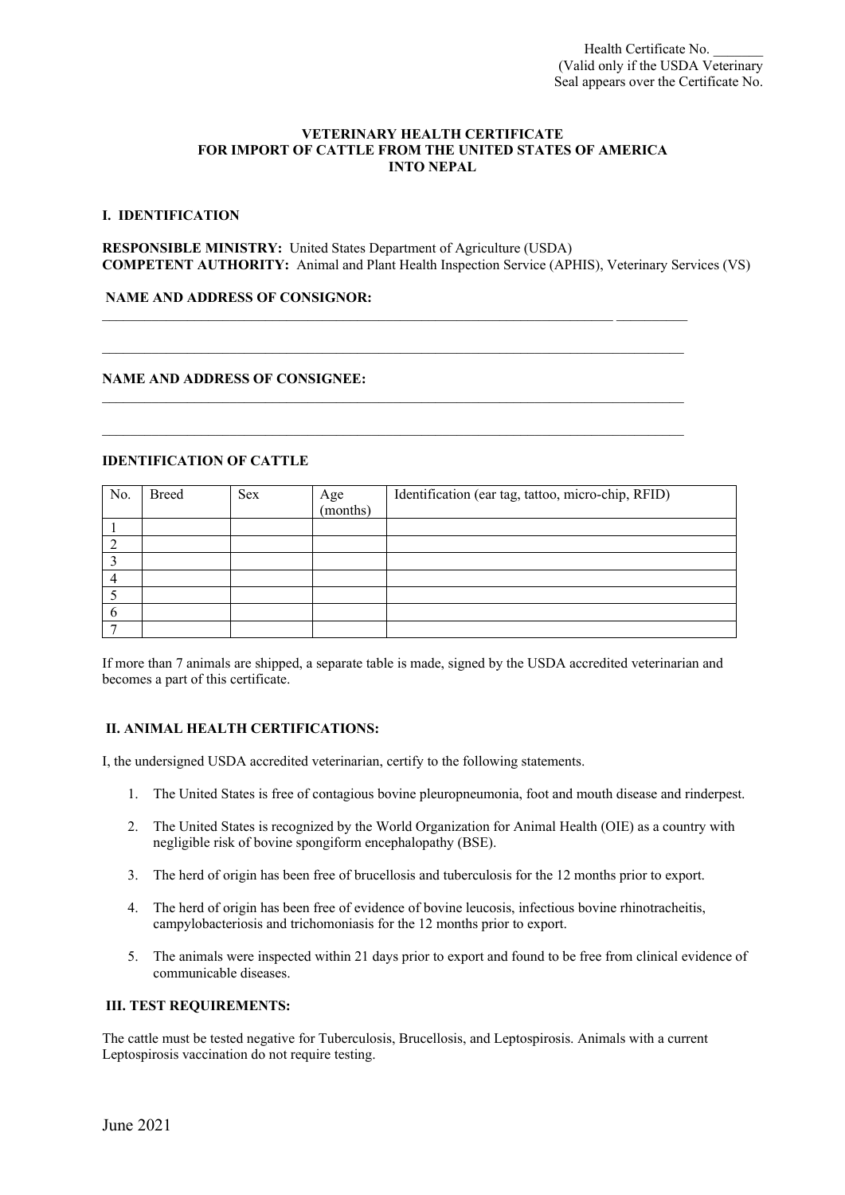#### **VETERINARY HEALTH CERTIFICATE FOR IMPORT OF CATTLE FROM THE UNITED STATES OF AMERICA INTO NEPAL**

### **I. IDENTIFICATION**

**RESPONSIBLE MINISTRY:** United States Department of Agriculture (USDA) **COMPETENT AUTHORITY:** Animal and Plant Health Inspection Service (APHIS), Veterinary Services (VS)

 $\mathcal{L}_\mathcal{L} = \{ \mathcal{L}_\mathcal{L} = \{ \mathcal{L}_\mathcal{L} = \{ \mathcal{L}_\mathcal{L} = \{ \mathcal{L}_\mathcal{L} = \{ \mathcal{L}_\mathcal{L} = \{ \mathcal{L}_\mathcal{L} = \{ \mathcal{L}_\mathcal{L} = \{ \mathcal{L}_\mathcal{L} = \{ \mathcal{L}_\mathcal{L} = \{ \mathcal{L}_\mathcal{L} = \{ \mathcal{L}_\mathcal{L} = \{ \mathcal{L}_\mathcal{L} = \{ \mathcal{L}_\mathcal{L} = \{ \mathcal{L}_\mathcal{$ 

\_\_\_\_\_\_\_\_\_\_\_\_\_\_\_\_\_\_\_\_\_\_\_\_\_\_\_\_\_\_\_\_\_\_\_\_\_\_\_\_\_\_\_\_\_\_\_\_\_\_\_\_\_\_\_\_\_\_\_\_\_\_\_\_\_\_\_\_\_\_\_\_\_\_\_\_\_\_\_\_\_\_

\_\_\_\_\_\_\_\_\_\_\_\_\_\_\_\_\_\_\_\_\_\_\_\_\_\_\_\_\_\_\_\_\_\_\_\_\_\_\_\_\_\_\_\_\_\_\_\_\_\_\_\_\_\_\_\_\_\_\_\_\_\_\_\_\_\_\_\_\_\_\_\_\_\_\_\_\_\_\_\_\_\_

 $\mathcal{L}_\mathcal{L} = \{ \mathcal{L}_\mathcal{L} = \{ \mathcal{L}_\mathcal{L} = \{ \mathcal{L}_\mathcal{L} = \{ \mathcal{L}_\mathcal{L} = \{ \mathcal{L}_\mathcal{L} = \{ \mathcal{L}_\mathcal{L} = \{ \mathcal{L}_\mathcal{L} = \{ \mathcal{L}_\mathcal{L} = \{ \mathcal{L}_\mathcal{L} = \{ \mathcal{L}_\mathcal{L} = \{ \mathcal{L}_\mathcal{L} = \{ \mathcal{L}_\mathcal{L} = \{ \mathcal{L}_\mathcal{L} = \{ \mathcal{L}_\mathcal{$ 

#### **NAME AND ADDRESS OF CONSIGNOR:**

### **NAME AND ADDRESS OF CONSIGNEE:**

## **IDENTIFICATION OF CATTLE**

| No. | Breed | <b>Sex</b> | Age<br>(months) | Identification (ear tag, tattoo, micro-chip, RFID) |
|-----|-------|------------|-----------------|----------------------------------------------------|
|     |       |            |                 |                                                    |
|     |       |            |                 |                                                    |
|     |       |            |                 |                                                    |
|     |       |            |                 |                                                    |
|     |       |            |                 |                                                    |
|     |       |            |                 |                                                    |
|     |       |            |                 |                                                    |

If more than 7 animals are shipped, a separate table is made, signed by the USDA accredited veterinarian and becomes a part of this certificate.

#### **II. ANIMAL HEALTH CERTIFICATIONS:**

I, the undersigned USDA accredited veterinarian, certify to the following statements.

- 1. The United States is free of contagious bovine pleuropneumonia, foot and mouth disease and rinderpest.
- 2. The United States is recognized by the World Organization for Animal Health (OIE) as a country with negligible risk of bovine spongiform encephalopathy (BSE).
- 3. The herd of origin has been free of brucellosis and tuberculosis for the 12 months prior to export.
- 4. The herd of origin has been free of evidence of bovine leucosis, infectious bovine rhinotracheitis, campylobacteriosis and trichomoniasis for the 12 months prior to export.
- 5. The animals were inspected within 21 days prior to export and found to be free from clinical evidence of communicable diseases.

## **III. TEST REQUIREMENTS:**

The cattle must be tested negative for Tuberculosis, Brucellosis, and Leptospirosis. Animals with a current Leptospirosis vaccination do not require testing.